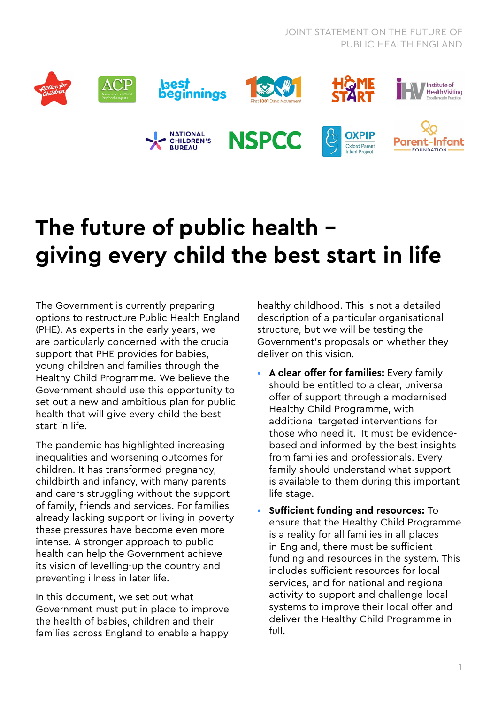

## **The future of public health giving every child the best start in life**

The Government is currently preparing options to restructure Public Health England (PHE). As experts in the early years, we are particularly concerned with the crucial support that PHE provides for babies, young children and families through the Healthy Child Programme. We believe the Government should use this opportunity to set out a new and ambitious plan for public health that will give every child the best start in life.

The pandemic has highlighted increasing inequalities and worsening outcomes for children. It has transformed pregnancy, childbirth and infancy, with many parents and carers struggling without the support of family, friends and services. For families already lacking support or living in poverty these pressures have become even more intense. A stronger approach to public health can help the Government achieve its vision of levelling-up the country and preventing illness in later life.

In this document, we set out what Government must put in place to improve the health of babies, children and their families across England to enable a happy

healthy childhood. This is not a detailed description of a particular organisational structure, but we will be testing the Government's proposals on whether they deliver on this vision.

- **A clear offer for families:** Every family should be entitled to a clear, universal offer of support through a modernised Healthy Child Programme, with additional targeted interventions for those who need it. It must be evidencebased and informed by the best insights from families and professionals. Every family should understand what support is available to them during this important life stage.
- **Sufficient funding and resources:** To ensure that the Healthy Child Programme is a reality for all families in all places in England, there must be sufficient funding and resources in the system. This includes sufficient resources for local services, and for national and regional activity to support and challenge local systems to improve their local offer and deliver the Healthy Child Programme in full.